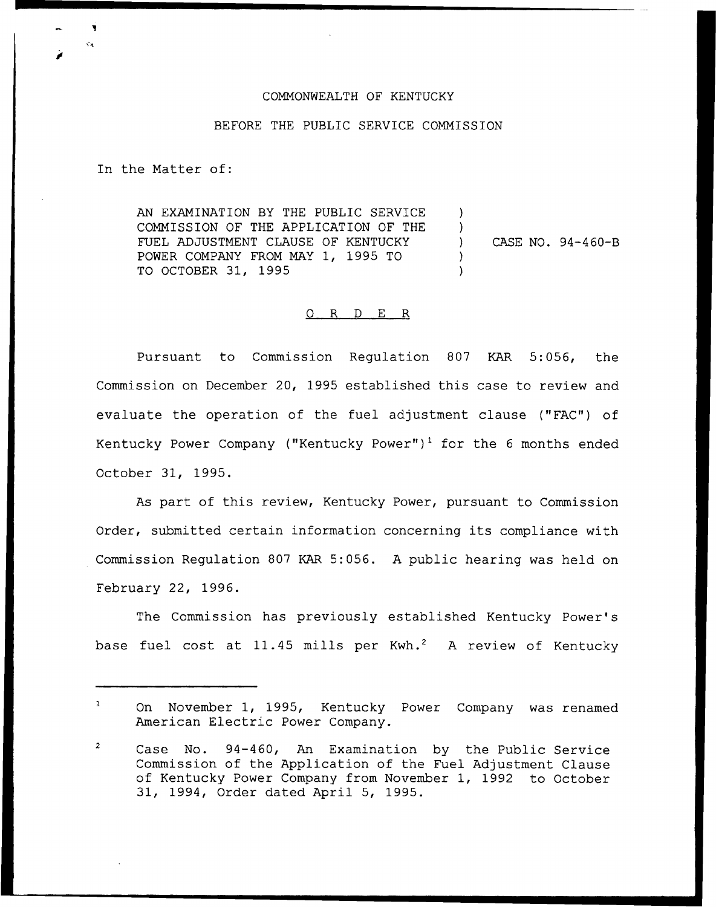## COMMONWEALTH OF KENTUCKY

## BEFORE THE PUBLIC SERVICE COMMISSION

In the Matter of:

AN EXAMINATION BY THE PUBLIC SERVICE COMMISSION OF THE APPLICATION OF THE FUEL ADJUSTMENT CLAUSE OF KENTUCKY POWER COMPANY FROM MAY 1, 1995 TO TO OCTOBER 31, 1995 )  $\lambda$ ) CASE NO. 94-460-B ) )

## 0 R <sup>D</sup> E R

Pursuant to Commission Regulation 807 KAR 5:056, the Commission on December 20, 1995 established this case to review and evaluate the operation of the fuel adjustment clause ("FAC") of Kentucky Power Company ("Kentucky Power")<sup>1</sup> for the 6 months ended October 31, 1995.

As part of this review, Kentucky Power, pursuant to Commission Order, submitted certain information concerning its compliance with Commission Regulation 807 KAR 5:056. <sup>A</sup> public hearing was held on February 22, 1996.

The Commission has previously established Kentucky Power's base fuel cost at 11.45 mills per Kwh.<sup>2</sup> A review of Kentucky

 $\mathbf{1}$ On November 1, 1995, Kentucky Power Company was renamed American Electric Power Company.

 $\overline{2}$ Case No. 94-460, An Examination by the Public Service Commission of the Application of the Fuel Adjustment Clause of Kentucky Power Company from November 1, 1992 to October 31, 1994, Order dated April 5, 1995.